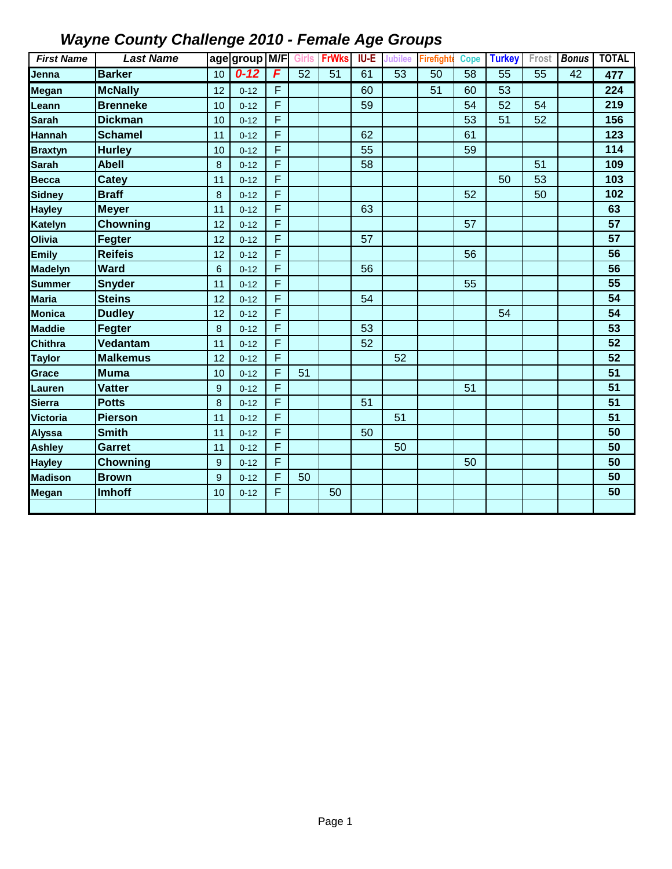| <b>First Name</b> | <b>Last Name</b> |    | age group M/F |   | <b>Girls</b>    | <b>FrWks</b>    | <b>IU-E</b> | <b>Jubilee</b>  | <b>Firefight</b> | <b>Cope</b>     | <b>Turkey</b>   | Frost           | <b>Bonus</b> | <b>TOTAL</b>    |
|-------------------|------------------|----|---------------|---|-----------------|-----------------|-------------|-----------------|------------------|-----------------|-----------------|-----------------|--------------|-----------------|
| Jenna             | <b>Barker</b>    | 10 | $0 - 12$      | F | $\overline{52}$ | $\overline{51}$ | 61          | $\overline{53}$ | $\overline{50}$  | $\overline{58}$ | $\overline{55}$ | $\overline{55}$ | 42           | 477             |
| <b>Megan</b>      | <b>McNally</b>   | 12 | $0 - 12$      | F |                 |                 | 60          |                 | 51               | 60              | 53              |                 |              | 224             |
| Leann             | <b>Brenneke</b>  | 10 | $0 - 12$      | F |                 |                 | 59          |                 |                  | 54              | 52              | 54              |              | 219             |
| <b>Sarah</b>      | <b>Dickman</b>   | 10 | $0 - 12$      | F |                 |                 |             |                 |                  | 53              | 51              | 52              |              | 156             |
| <b>Hannah</b>     | <b>Schamel</b>   | 11 | $0 - 12$      | F |                 |                 | 62          |                 |                  | 61              |                 |                 |              | 123             |
| <b>Braxtyn</b>    | <b>Hurley</b>    | 10 | $0 - 12$      | F |                 |                 | 55          |                 |                  | 59              |                 |                 |              | 114             |
| <b>Sarah</b>      | <b>Abell</b>     | 8  | $0 - 12$      | F |                 |                 | 58          |                 |                  |                 |                 | 51              |              | 109             |
| <b>Becca</b>      | <b>Catey</b>     | 11 | $0 - 12$      | F |                 |                 |             |                 |                  |                 | 50              | 53              |              | 103             |
| <b>Sidney</b>     | <b>Braff</b>     | 8  | $0 - 12$      | F |                 |                 |             |                 |                  | 52              |                 | 50              |              | 102             |
| <b>Hayley</b>     | <b>Meyer</b>     | 11 | $0 - 12$      | F |                 |                 | 63          |                 |                  |                 |                 |                 |              | 63              |
| Katelyn           | <b>Chowning</b>  | 12 | $0 - 12$      | F |                 |                 |             |                 |                  | 57              |                 |                 |              | 57              |
| Olivia            | Fegter           | 12 | $0 - 12$      | F |                 |                 | 57          |                 |                  |                 |                 |                 |              | 57              |
| <b>Emily</b>      | <b>Reifeis</b>   | 12 | $0 - 12$      | F |                 |                 |             |                 |                  | 56              |                 |                 |              | 56              |
| <b>Madelyn</b>    | <b>Ward</b>      | 6  | $0 - 12$      | F |                 |                 | 56          |                 |                  |                 |                 |                 |              | 56              |
| <b>Summer</b>     | <b>Snyder</b>    | 11 | $0 - 12$      | F |                 |                 |             |                 |                  | 55              |                 |                 |              | 55              |
| <b>Maria</b>      | <b>Steins</b>    | 12 | $0 - 12$      | F |                 |                 | 54          |                 |                  |                 |                 |                 |              | 54              |
| <b>Monica</b>     | <b>Dudley</b>    | 12 | $0 - 12$      | F |                 |                 |             |                 |                  |                 | 54              |                 |              | 54              |
| <b>Maddie</b>     | Fegter           | 8  | $0 - 12$      | F |                 |                 | 53          |                 |                  |                 |                 |                 |              | 53              |
| <b>Chithra</b>    | Vedantam         | 11 | $0 - 12$      | F |                 |                 | 52          |                 |                  |                 |                 |                 |              | 52              |
| <b>Taylor</b>     | <b>Malkemus</b>  | 12 | $0 - 12$      | F |                 |                 |             | 52              |                  |                 |                 |                 |              | 52              |
| Grace             | <b>Muma</b>      | 10 | $0 - 12$      | F | 51              |                 |             |                 |                  |                 |                 |                 |              | $\overline{51}$ |
| Lauren            | <b>Vatter</b>    | 9  | $0 - 12$      | F |                 |                 |             |                 |                  | 51              |                 |                 |              | 51              |
| <b>Sierra</b>     | <b>Potts</b>     | 8  | $0 - 12$      | F |                 |                 | 51          |                 |                  |                 |                 |                 |              | 51              |
| <b>Victoria</b>   | Pierson          | 11 | $0 - 12$      | F |                 |                 |             | 51              |                  |                 |                 |                 |              | 51              |
| <b>Alyssa</b>     | <b>Smith</b>     | 11 | $0 - 12$      | F |                 |                 | 50          |                 |                  |                 |                 |                 |              | 50              |
| <b>Ashley</b>     | <b>Garret</b>    | 11 | $0 - 12$      | F |                 |                 |             | 50              |                  |                 |                 |                 |              | $\overline{50}$ |
| <b>Hayley</b>     | <b>Chowning</b>  | 9  | $0 - 12$      | F |                 |                 |             |                 |                  | 50              |                 |                 |              | 50              |
| <b>Madison</b>    | <b>Brown</b>     | 9  | $0 - 12$      | F | 50              |                 |             |                 |                  |                 |                 |                 |              | 50              |
| Megan             | <b>Imhoff</b>    | 10 | $0 - 12$      | F |                 | 50              |             |                 |                  |                 |                 |                 |              | 50              |
|                   |                  |    |               |   |                 |                 |             |                 |                  |                 |                 |                 |              |                 |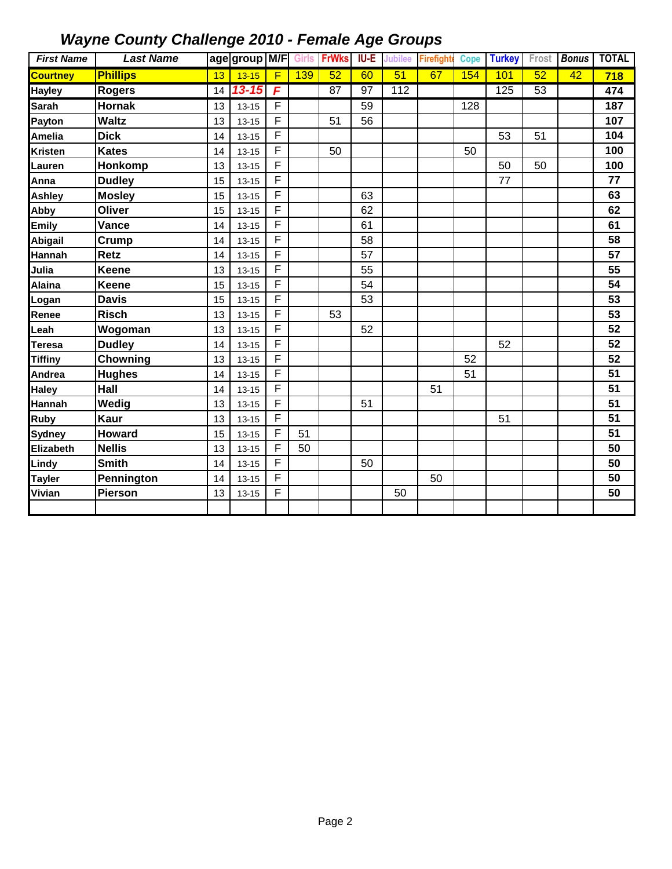| <b>First Name</b> | <b>Last Name</b> |    | age group M/F Girls FrWks |             |     |    | <b>IU-E</b> | Jubilee | <b>Firefighte</b> | <b>Cope</b> | <b>Turkey</b> | Frost | <b>Bonus</b> | <b>TOTAL</b> |
|-------------------|------------------|----|---------------------------|-------------|-----|----|-------------|---------|-------------------|-------------|---------------|-------|--------------|--------------|
| <b>Courtney</b>   | <b>Phillips</b>  | 13 | $13 - 15$                 | F           | 139 | 52 | 60          | 51      | 67                | 154         | 101           | 52    | 42           | 718          |
| <b>Hayley</b>     | <b>Rogers</b>    | 14 | $13 - 15$                 | $\mathbf F$ |     | 87 | 97          | 112     |                   |             | 125           | 53    |              | 474          |
| <b>Sarah</b>      | <b>Hornak</b>    | 13 | $13 - 15$                 | F           |     |    | 59          |         |                   | 128         |               |       |              | 187          |
| Payton            | <b>Waltz</b>     | 13 | $13 - 15$                 | F           |     | 51 | 56          |         |                   |             |               |       |              | 107          |
| <b>Amelia</b>     | <b>Dick</b>      | 14 | $13 - 15$                 | F           |     |    |             |         |                   |             | 53            | 51    |              | 104          |
| <b>Kristen</b>    | <b>Kates</b>     | 14 | $13 - 15$                 | F           |     | 50 |             |         |                   | 50          |               |       |              | 100          |
| Lauren            | Honkomp          | 13 | $13 - 15$                 | F           |     |    |             |         |                   |             | 50            | 50    |              | 100          |
| Anna              | <b>Dudley</b>    | 15 | $13 - 15$                 | F           |     |    |             |         |                   |             | 77            |       |              | 77           |
| Ashley            | <b>Mosley</b>    | 15 | $13 - 15$                 | F           |     |    | 63          |         |                   |             |               |       |              | 63           |
| Abby              | <b>Oliver</b>    | 15 | $13 - 15$                 | F           |     |    | 62          |         |                   |             |               |       |              | 62           |
| <b>Emily</b>      | Vance            | 14 | $13 - 15$                 | F           |     |    | 61          |         |                   |             |               |       |              | 61           |
| Abigail           | Crump            | 14 | $13 - 15$                 | F           |     |    | 58          |         |                   |             |               |       |              | 58           |
| Hannah            | <b>Retz</b>      | 14 | $13 - 15$                 | F           |     |    | 57          |         |                   |             |               |       |              | 57           |
| Julia             | Keene            | 13 | $13 - 15$                 | F           |     |    | 55          |         |                   |             |               |       |              | 55           |
| <b>Alaina</b>     | <b>Keene</b>     | 15 | $13 - 15$                 | F           |     |    | 54          |         |                   |             |               |       |              | 54           |
| Logan             | <b>Davis</b>     | 15 | $13 - 15$                 | F           |     |    | 53          |         |                   |             |               |       |              | 53           |
| Renee             | <b>Risch</b>     | 13 | $13 - 15$                 | F           |     | 53 |             |         |                   |             |               |       |              | 53           |
| Leah              | Wogoman          | 13 | $13 - 15$                 | F           |     |    | 52          |         |                   |             |               |       |              | 52           |
| <b>Teresa</b>     | <b>Dudley</b>    | 14 | $13 - 15$                 | F           |     |    |             |         |                   |             | 52            |       |              | 52           |
| <b>Tiffiny</b>    | Chowning         | 13 | $13 - 15$                 | F           |     |    |             |         |                   | 52          |               |       |              | 52           |
| Andrea            | <b>Hughes</b>    | 14 | $13 - 15$                 | F           |     |    |             |         |                   | 51          |               |       |              | 51           |
| <b>Haley</b>      | Hall             | 14 | $13 - 15$                 | F           |     |    |             |         | 51                |             |               |       |              | 51           |
| Hannah            | Wedig            | 13 | $13 - 15$                 | F           |     |    | 51          |         |                   |             |               |       |              | 51           |
| <b>Ruby</b>       | Kaur             | 13 | $13 - 15$                 | F           |     |    |             |         |                   |             | 51            |       |              | 51           |
| <b>Sydney</b>     | <b>Howard</b>    | 15 | $13 - 15$                 | F           | 51  |    |             |         |                   |             |               |       |              | 51           |
| Elizabeth         | <b>Nellis</b>    | 13 | $13 - 15$                 | F           | 50  |    |             |         |                   |             |               |       |              | 50           |
| Lindy             | <b>Smith</b>     | 14 | $13 - 15$                 | F           |     |    | 50          |         |                   |             |               |       |              | 50           |
| <b>Tayler</b>     | Pennington       | 14 | $13 - 15$                 | F           |     |    |             |         | 50                |             |               |       |              | 50           |
| Vivian            | Pierson          | 13 | $13 - 15$                 | F           |     |    |             | 50      |                   |             |               |       |              | 50           |
|                   |                  |    |                           |             |     |    |             |         |                   |             |               |       |              |              |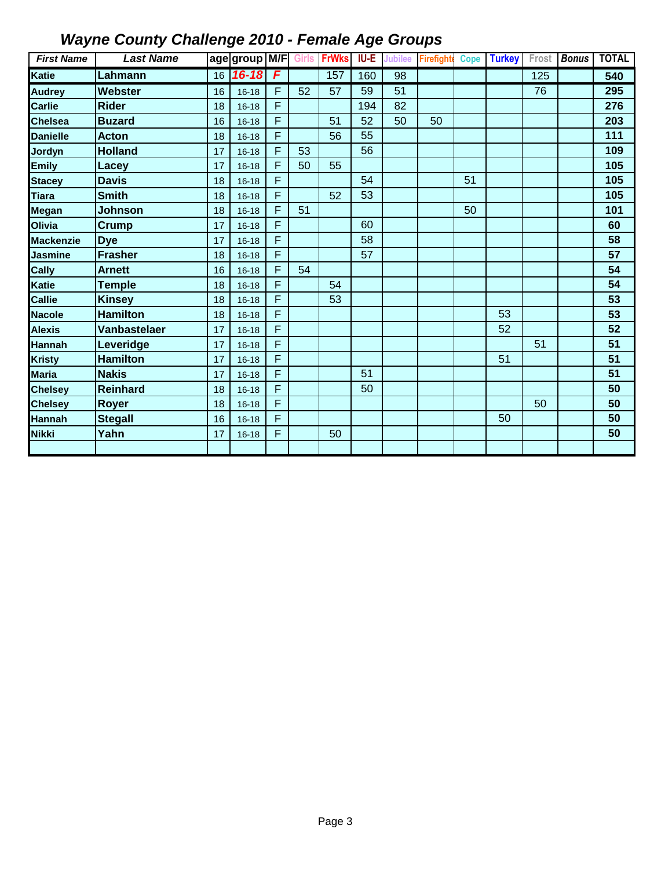| <b>First Name</b> | <b>Last Name</b>    |    | age group M/F Girls FrWks |                |    |     | <b>IU-E</b> | <b>Jubilee</b> | Firefight | <b>Cope</b> | <b>Turkey</b> | Frost | <b>Bonus</b> | <b>TOTAL</b> |
|-------------------|---------------------|----|---------------------------|----------------|----|-----|-------------|----------------|-----------|-------------|---------------|-------|--------------|--------------|
| Katie             | Lahmann             | 16 | $16 - 18$                 | $\overline{F}$ |    | 157 | 160         | 98             |           |             |               | 125   |              | 540          |
| <b>Audrey</b>     | Webster             | 16 | $16 - 18$                 | F              | 52 | 57  | 59          | 51             |           |             |               | 76    |              | 295          |
| <b>Carlie</b>     | <b>Rider</b>        | 18 | $16 - 18$                 | F              |    |     | 194         | 82             |           |             |               |       |              | 276          |
| <b>Chelsea</b>    | <b>Buzard</b>       | 16 | $16 - 18$                 | F              |    | 51  | 52          | 50             | 50        |             |               |       |              | 203          |
| <b>Danielle</b>   | <b>Acton</b>        | 18 | $16 - 18$                 | F              |    | 56  | 55          |                |           |             |               |       |              | 111          |
| <b>Jordyn</b>     | <b>Holland</b>      | 17 | $16 - 18$                 | F              | 53 |     | 56          |                |           |             |               |       |              | 109          |
| <b>Emily</b>      | Lacey               | 17 | $16 - 18$                 | F              | 50 | 55  |             |                |           |             |               |       |              | 105          |
| <b>Stacey</b>     | <b>Davis</b>        | 18 | $16 - 18$                 | F              |    |     | 54          |                |           | 51          |               |       |              | 105          |
| <b>Tiara</b>      | <b>Smith</b>        | 18 | $16 - 18$                 | F              |    | 52  | 53          |                |           |             |               |       |              | 105          |
| <b>Megan</b>      | <b>Johnson</b>      | 18 | $16 - 18$                 | F              | 51 |     |             |                |           | 50          |               |       |              | 101          |
| Olivia            | <b>Crump</b>        | 17 | $16 - 18$                 | F              |    |     | 60          |                |           |             |               |       |              | 60           |
| <b>Mackenzie</b>  | <b>Dye</b>          | 17 | $16 - 18$                 | F              |    |     | 58          |                |           |             |               |       |              | 58           |
| <b>Jasmine</b>    | <b>Frasher</b>      | 18 | $16 - 18$                 | F              |    |     | 57          |                |           |             |               |       |              | 57           |
| Cally             | <b>Arnett</b>       | 16 | $16 - 18$                 | F              | 54 |     |             |                |           |             |               |       |              | 54           |
| Katie             | <b>Temple</b>       | 18 | $16 - 18$                 | F              |    | 54  |             |                |           |             |               |       |              | 54           |
| <b>Callie</b>     | <b>Kinsey</b>       | 18 | $16 - 18$                 | F              |    | 53  |             |                |           |             |               |       |              | 53           |
| <b>Nacole</b>     | <b>Hamilton</b>     | 18 | $16 - 18$                 | F              |    |     |             |                |           |             | 53            |       |              | 53           |
| <b>Alexis</b>     | <b>Vanbastelaer</b> | 17 | $16 - 18$                 | F              |    |     |             |                |           |             | 52            |       |              | 52           |
| Hannah            | Leveridge           | 17 | $16 - 18$                 | F              |    |     |             |                |           |             |               | 51    |              | 51           |
| <b>Kristy</b>     | <b>Hamilton</b>     | 17 | $16 - 18$                 | F              |    |     |             |                |           |             | 51            |       |              | 51           |
| <b>Maria</b>      | <b>Nakis</b>        | 17 | $16 - 18$                 | F              |    |     | 51          |                |           |             |               |       |              | 51           |
| <b>Chelsey</b>    | <b>Reinhard</b>     | 18 | $16 - 18$                 | F              |    |     | 50          |                |           |             |               |       |              | 50           |
| <b>Chelsey</b>    | <b>Royer</b>        | 18 | $16 - 18$                 | F              |    |     |             |                |           |             |               | 50    |              | 50           |
| <b>Hannah</b>     | <b>Stegall</b>      | 16 | $16 - 18$                 | F              |    |     |             |                |           |             | 50            |       |              | 50           |
| <b>Nikki</b>      | Yahn                | 17 | $16 - 18$                 | F              |    | 50  |             |                |           |             |               |       |              | 50           |
|                   |                     |    |                           |                |    |     |             |                |           |             |               |       |              |              |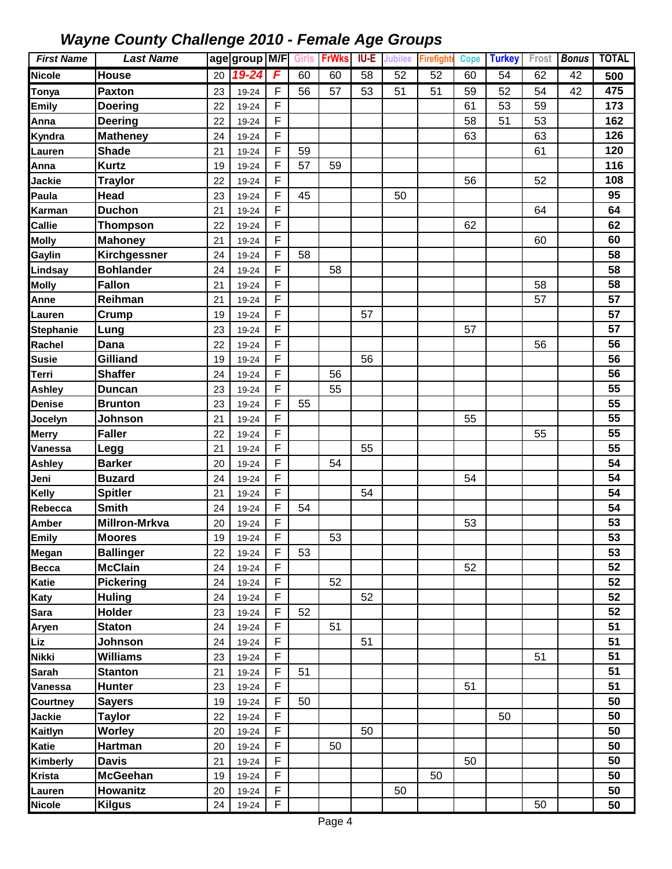| <b>First Name</b>       | <b>Last Name</b>      |          | age group M/F Girls FrWks |              |    |    | IU-E | <b>Jubilee</b> | <b>Firefighte</b> | <b>Cope</b> | <b>Turkey</b> | Frost | <b>Bonus</b>    | <b>TOTAL</b> |
|-------------------------|-----------------------|----------|---------------------------|--------------|----|----|------|----------------|-------------------|-------------|---------------|-------|-----------------|--------------|
| <b>Nicole</b>           | House                 | 20       | 19-24                     | $\mathsf F$  | 60 | 60 | 58   | 52             | $\overline{52}$   | 60          | 54            | 62    | $\overline{42}$ | 500          |
| Tonya                   | <b>Paxton</b>         | 23       | 19-24                     | F            | 56 | 57 | 53   | 51             | 51                | 59          | 52            | 54    | 42              | 475          |
| <b>Emily</b>            | <b>Doering</b>        | 22       | 19-24                     | F            |    |    |      |                |                   | 61          | 53            | 59    |                 | 173          |
| Anna                    | <b>Deering</b>        | 22       | 19-24                     | F            |    |    |      |                |                   | 58          | 51            | 53    |                 | 162          |
| <b>Kyndra</b>           | <b>Matheney</b>       | 24       | 19-24                     | F            |    |    |      |                |                   | 63          |               | 63    |                 | 126          |
| Lauren                  | <b>Shade</b>          | 21       | 19-24                     | F            | 59 |    |      |                |                   |             |               | 61    |                 | 120          |
| Anna                    | <b>Kurtz</b>          | 19       | 19-24                     | F            | 57 | 59 |      |                |                   |             |               |       |                 | 116          |
| Jackie                  | <b>Traylor</b>        | 22       | 19-24                     | F            |    |    |      |                |                   | 56          |               | 52    |                 | 108          |
| Paula                   | Head                  | 23       | 19-24                     | F            | 45 |    |      | 50             |                   |             |               |       |                 | 95           |
| Karman                  | <b>Duchon</b>         | 21       | 19-24                     | F            |    |    |      |                |                   |             |               | 64    |                 | 64           |
| Callie                  | <b>Thompson</b>       | 22       | 19-24                     | $\mathsf{F}$ |    |    |      |                |                   | 62          |               |       |                 | 62           |
| <b>Molly</b>            | <b>Mahoney</b>        | 21       | 19-24                     | F            |    |    |      |                |                   |             |               | 60    |                 | 60           |
| Gaylin                  | Kirchgessner          | 24       | 19-24                     | F            | 58 |    |      |                |                   |             |               |       |                 | 58           |
| Lindsay                 | <b>Bohlander</b>      | 24       | 19-24                     | F            |    | 58 |      |                |                   |             |               |       |                 | 58           |
| <b>Molly</b>            | <b>Fallon</b>         | 21       | 19-24                     | $\mathsf{F}$ |    |    |      |                |                   |             |               | 58    |                 | 58           |
| Anne                    | Reihman               | 21       | 19-24                     | F            |    |    |      |                |                   |             |               | 57    |                 | 57           |
| Lauren                  | Crump                 | 19       | 19-24                     | F            |    |    | 57   |                |                   |             |               |       |                 | 57           |
| <b>Stephanie</b>        | Lung                  | 23       | 19-24                     | F            |    |    |      |                |                   | 57          |               |       |                 | 57           |
| Rachel                  | Dana                  | 22       | 19-24                     | F            |    |    |      |                |                   |             |               | 56    |                 | 56           |
| <b>Susie</b>            | Gilliand              | 19       | 19-24                     | F            |    |    | 56   |                |                   |             |               |       |                 | 56           |
| Terri                   | <b>Shaffer</b>        | 24       | 19-24                     | F            |    | 56 |      |                |                   |             |               |       |                 | 56           |
| Ashley                  | <b>Duncan</b>         | 23       | 19-24                     | F            |    | 55 |      |                |                   |             |               |       |                 | 55           |
| <b>Denise</b>           | <b>Brunton</b>        | 23       | 19-24                     | $\mathsf{F}$ | 55 |    |      |                |                   |             |               |       |                 | 55           |
| Jocelyn                 | Johnson               | 21       | 19-24                     | F<br>F       |    |    |      |                |                   | 55          |               |       |                 | 55<br>55     |
| <b>Merry</b><br>Vanessa | <b>Faller</b>         | 22       | 19-24                     | F            |    |    | 55   |                |                   |             |               | 55    |                 | 55           |
|                         | Legg<br><b>Barker</b> | 21<br>20 | 19-24<br>19-24            | F            |    | 54 |      |                |                   |             |               |       |                 | 54           |
| Ashley<br>Jeni          | <b>Buzard</b>         | 24       | 19-24                     | F            |    |    |      |                |                   | 54          |               |       |                 | 54           |
| Kelly                   | <b>Spitler</b>        | 21       | 19-24                     | F            |    |    | 54   |                |                   |             |               |       |                 | 54           |
| Rebecca                 | <b>Smith</b>          | 24       | 19-24                     | F            | 54 |    |      |                |                   |             |               |       |                 | 54           |
| Amber                   | <b>Millron-Mrkva</b>  | 20       | 19-24                     | F            |    |    |      |                |                   | 53          |               |       |                 | 53           |
| <b>Emily</b>            | <b>Moores</b>         | 19       | 19-24                     | F            |    | 53 |      |                |                   |             |               |       |                 | 53           |
| Megan                   | <b>Ballinger</b>      | 22       | 19-24                     | F            | 53 |    |      |                |                   |             |               |       |                 | 53           |
| <b>Becca</b>            | <b>McClain</b>        | 24       | 19-24                     | $\mathsf F$  |    |    |      |                |                   | 52          |               |       |                 | 52           |
| Katie                   | <b>Pickering</b>      | 24       | 19-24                     | $\mathsf{F}$ |    | 52 |      |                |                   |             |               |       |                 | 52           |
| Katy                    | <b>Huling</b>         | 24       | 19-24                     | $\mathsf F$  |    |    | 52   |                |                   |             |               |       |                 | 52           |
| Sara                    | Holder                | 23       | 19-24                     | F            | 52 |    |      |                |                   |             |               |       |                 | 52           |
| Aryen                   | <b>Staton</b>         | 24       | 19-24                     | $\mathsf F$  |    | 51 |      |                |                   |             |               |       |                 | 51           |
| Liz                     | Johnson               | 24       | 19-24                     | $\mathsf{F}$ |    |    | 51   |                |                   |             |               |       |                 | 51           |
| Nikki                   | <b>Williams</b>       | 23       | 19-24                     | $\mathsf F$  |    |    |      |                |                   |             |               | 51    |                 | 51           |
| <b>Sarah</b>            | <b>Stanton</b>        | 21       | 19-24                     | F            | 51 |    |      |                |                   |             |               |       |                 | 51           |
| Vanessa                 | Hunter                | 23       | 19-24                     | F            |    |    |      |                |                   | 51          |               |       |                 | 51           |
| Courtney                | <b>Sayers</b>         | 19       | 19-24                     | F            | 50 |    |      |                |                   |             |               |       |                 | 50           |
| Jackie                  | <b>Taylor</b>         | 22       | 19-24                     | F            |    |    |      |                |                   |             | 50            |       |                 | 50           |
| Kaitlyn                 | <b>Worley</b>         | 20       | 19-24                     | $\mathsf{F}$ |    |    | 50   |                |                   |             |               |       |                 | 50           |
| <b>Katie</b>            | <b>Hartman</b>        | 20       | 19-24                     | $\mathsf{F}$ |    | 50 |      |                |                   |             |               |       |                 | 50           |
| Kimberly                | <b>Davis</b>          | 21       | 19-24                     | F            |    |    |      |                |                   | 50          |               |       |                 | 50           |
| <b>Krista</b>           | <b>McGeehan</b>       | 19       | 19-24                     | $\mathsf F$  |    |    |      |                | 50                |             |               |       |                 | 50           |
| Lauren                  | <b>Howanitz</b>       | 20       | 19-24                     | F            |    |    |      | 50             |                   |             |               |       |                 | 50           |
| <b>Nicole</b>           | <b>Kilgus</b>         | 24       | 19-24                     | $\mathsf F$  |    |    |      |                |                   |             |               | 50    |                 | 50           |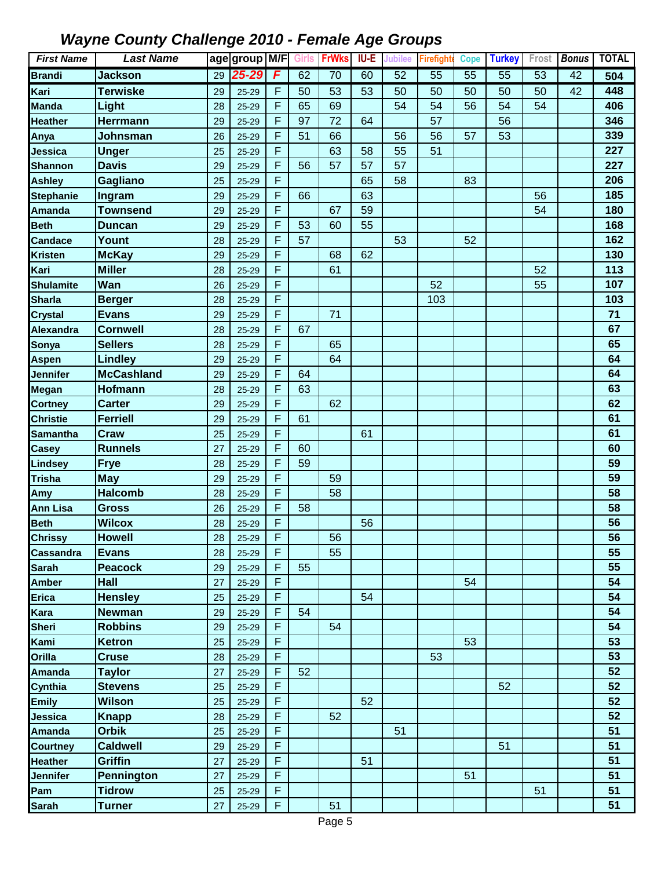| <b>First Name</b> | <b>Last Name</b>  |    | age group M/F Girls FrWks |                   |    |                 | IU-E | <b>Jubilee</b>  | <b>Firefighte</b> | <b>Cope</b>     | <b>Turkey</b> | Frost           | <b>Bonus</b>    | <b>TOTAL</b> |
|-------------------|-------------------|----|---------------------------|-------------------|----|-----------------|------|-----------------|-------------------|-----------------|---------------|-----------------|-----------------|--------------|
| <b>Brandi</b>     | <b>Jackson</b>    | 29 | 25-29                     | F                 | 62 | $\overline{70}$ | 60   | $\overline{52}$ | $\overline{55}$   | $\overline{55}$ | 55            | $\overline{53}$ | $\overline{42}$ | 504          |
| Kari              | <b>Terwiske</b>   | 29 | $25 - 29$                 | F                 | 50 | 53              | 53   | 50              | 50                | 50              | 50            | 50              | 42              | 448          |
| <b>Manda</b>      | Light             | 28 | $25 - 29$                 | F                 | 65 | 69              |      | 54              | 54                | 56              | 54            | 54              |                 | 406          |
| Heather           | <b>Herrmann</b>   | 29 | $25 - 29$                 | F                 | 97 | 72              | 64   |                 | 57                |                 | 56            |                 |                 | 346          |
| Anya              | <b>Johnsman</b>   | 26 | $25 - 29$                 | F                 | 51 | 66              |      | 56              | 56                | 57              | 53            |                 |                 | 339          |
| Jessica           | <b>Unger</b>      | 25 | $25 - 29$                 | F                 |    | 63              | 58   | 55              | 51                |                 |               |                 |                 | 227          |
| <b>Shannon</b>    | <b>Davis</b>      | 29 | $25 - 29$                 | F                 | 56 | 57              | 57   | 57              |                   |                 |               |                 |                 | 227          |
| <b>Ashley</b>     | Gagliano          | 25 | $25 - 29$                 | F                 |    |                 | 65   | 58              |                   | 83              |               |                 |                 | 206          |
| <b>Stephanie</b>  | Ingram            | 29 | $25 - 29$                 | F                 | 66 |                 | 63   |                 |                   |                 |               | 56              |                 | 185          |
| <b>Amanda</b>     | <b>Townsend</b>   | 29 | $25 - 29$                 | F                 |    | 67              | 59   |                 |                   |                 |               | 54              |                 | 180          |
| <b>Beth</b>       | <b>Duncan</b>     | 29 | $25 - 29$                 | F                 | 53 | 60              | 55   |                 |                   |                 |               |                 |                 | 168          |
| <b>Candace</b>    | Yount             | 28 | $25 - 29$                 | F                 | 57 |                 |      | 53              |                   | 52              |               |                 |                 | 162          |
| <b>Kristen</b>    | <b>McKay</b>      | 29 | $25 - 29$                 | F                 |    | 68              | 62   |                 |                   |                 |               |                 |                 | 130          |
| Kari              | <b>Miller</b>     | 28 | $25 - 29$                 | F                 |    | 61              |      |                 |                   |                 |               | 52              |                 | 113          |
| <b>Shulamite</b>  | Wan               | 26 | $25 - 29$                 | F                 |    |                 |      |                 | 52                |                 |               | 55              |                 | 107          |
| <b>Sharla</b>     | <b>Berger</b>     | 28 | 25-29                     | F                 |    |                 |      |                 | 103               |                 |               |                 |                 | 103          |
| <b>Crystal</b>    | <b>Evans</b>      | 29 | 25-29                     | F                 |    | 71              |      |                 |                   |                 |               |                 |                 | 71           |
| <b>Alexandra</b>  | <b>Cornwell</b>   | 28 | $25 - 29$                 | F                 | 67 |                 |      |                 |                   |                 |               |                 |                 | 67           |
| <b>Sonya</b>      | <b>Sellers</b>    | 28 | $25 - 29$                 | F                 |    | 65              |      |                 |                   |                 |               |                 |                 | 65           |
| Aspen             | <b>Lindley</b>    | 29 | $25 - 29$                 | F                 |    | 64              |      |                 |                   |                 |               |                 |                 | 64           |
| <b>Jennifer</b>   | <b>McCashland</b> | 29 | $25 - 29$                 | F                 | 64 |                 |      |                 |                   |                 |               |                 |                 | 64           |
| Megan             | Hofmann           | 28 | $25 - 29$                 | F                 | 63 |                 |      |                 |                   |                 |               |                 |                 | 63           |
| <b>Cortney</b>    | <b>Carter</b>     | 29 | $25 - 29$                 | F                 |    | 62              |      |                 |                   |                 |               |                 |                 | 62           |
| <b>Christie</b>   | <b>Ferriell</b>   | 29 | 25-29                     | F                 | 61 |                 |      |                 |                   |                 |               |                 |                 | 61           |
| <b>Samantha</b>   | <b>Craw</b>       | 25 | $25 - 29$                 | F                 |    |                 | 61   |                 |                   |                 |               |                 |                 | 61           |
| <b>Casey</b>      | <b>Runnels</b>    | 27 | $25 - 29$                 | F                 | 60 |                 |      |                 |                   |                 |               |                 |                 | 60           |
| <b>Lindsey</b>    | <b>Frye</b>       | 28 | $25 - 29$                 | F                 | 59 |                 |      |                 |                   |                 |               |                 |                 | 59           |
| <b>Trisha</b>     | <b>May</b>        | 29 | $25 - 29$                 | F                 |    | 59              |      |                 |                   |                 |               |                 |                 | 59           |
| Amy               | <b>Halcomb</b>    | 28 | $25 - 29$                 | F                 |    | 58              |      |                 |                   |                 |               |                 |                 | 58           |
| <b>Ann Lisa</b>   | <b>Gross</b>      | 26 | $25 - 29$                 | F                 | 58 |                 |      |                 |                   |                 |               |                 |                 | 58           |
| <b>Beth</b>       | <b>Wilcox</b>     | 28 | $25 - 29$                 | F                 |    |                 | 56   |                 |                   |                 |               |                 |                 | 56           |
| <b>Chrissy</b>    | <b>Howell</b>     | 28 | $25 - 29$                 | F                 |    | 56              |      |                 |                   |                 |               |                 |                 | 56           |
| <b>Cassandra</b>  | <b>Evans</b>      | 28 | 25-29                     | $\mathsf{F}$      |    | 55              |      |                 |                   |                 |               |                 |                 | 55           |
| <b>Sarah</b>      | <b>Peacock</b>    | 29 | 25-29                     | F                 | 55 |                 |      |                 |                   |                 |               |                 |                 | 55           |
| <b>Amber</b>      | Hall              | 27 | 25-29                     | F                 |    |                 |      |                 |                   | 54              |               |                 |                 | 54           |
| <b>Erica</b>      | <b>Hensley</b>    | 25 | 25-29                     | F                 |    |                 | 54   |                 |                   |                 |               |                 |                 | 54           |
| Kara              | <b>Newman</b>     | 29 | 25-29                     | F                 | 54 |                 |      |                 |                   |                 |               |                 |                 | 54           |
| <b>Sheri</b>      | <b>Robbins</b>    | 29 | 25-29                     | $\mathsf F$       |    | 54              |      |                 |                   |                 |               |                 |                 | 54           |
| Kami              | <b>Ketron</b>     | 25 | 25-29                     | F                 |    |                 |      |                 |                   | 53              |               |                 |                 | 53           |
| <b>Orilla</b>     | <b>Cruse</b>      | 28 | 25-29                     | F                 |    |                 |      |                 | 53                |                 |               |                 |                 | 53           |
| <b>Amanda</b>     | <b>Taylor</b>     | 27 | 25-29                     | F                 | 52 |                 |      |                 |                   |                 |               |                 |                 | 52<br>52     |
| <b>Cynthia</b>    | <b>Stevens</b>    | 25 | 25-29                     | F                 |    |                 |      |                 |                   |                 | 52            |                 |                 |              |
| <b>Emily</b>      | <b>Wilson</b>     | 25 | 25-29                     | F<br>F            |    |                 | 52   |                 |                   |                 |               |                 |                 | 52           |
| Jessica           | <b>Knapp</b>      | 28 | 25-29                     |                   |    | 52              |      |                 |                   |                 |               |                 |                 | 52           |
| <b>Amanda</b>     | <b>Orbik</b>      | 25 | 25-29                     | F<br>$\mathsf{F}$ |    |                 |      | 51              |                   |                 |               |                 |                 | 51<br>51     |
| <b>Courtney</b>   | <b>Caldwell</b>   | 29 | 25-29                     |                   |    |                 |      |                 |                   |                 | 51            |                 |                 |              |
| <b>Heather</b>    | <b>Griffin</b>    | 27 | 25-29                     | F                 |    |                 | 51   |                 |                   |                 |               |                 |                 | 51           |
| <b>Jennifer</b>   | Pennington        | 27 | 25-29                     | F                 |    |                 |      |                 |                   | 51              |               |                 |                 | 51           |
| Pam               | <b>Tidrow</b>     | 25 | 25-29                     | F                 |    |                 |      |                 |                   |                 |               | 51              |                 | 51           |
| <b>Sarah</b>      | <b>Turner</b>     | 27 | 25-29                     | $\mathsf F$       |    | 51              |      |                 |                   |                 |               |                 |                 | 51           |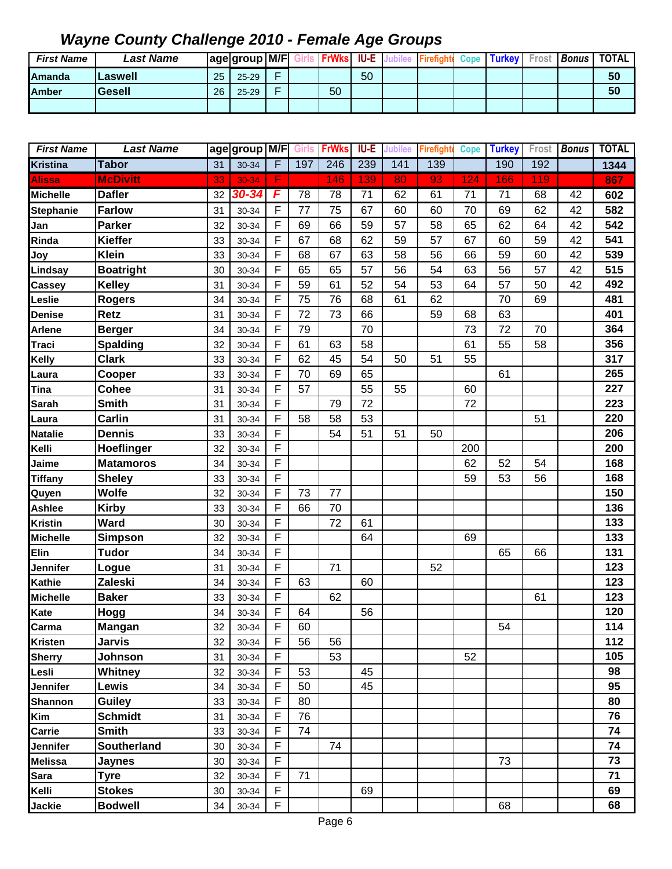| <b>First Name</b> | Last Name |    | age group M/F |   | <b>FrWks</b> | <b>IU-E</b> |  | Cope | <b>Turkey</b> | Frost | <b>Bonus</b> | <b>TOTAL</b> |
|-------------------|-----------|----|---------------|---|--------------|-------------|--|------|---------------|-------|--------------|--------------|
| Amanda            | Laswell   | 25 | $25 - 29$     | Е |              | 50          |  |      |               |       |              | 50           |
| Amber             | lGesell   | 26 | $25 - 29$     | - | 50           |             |  |      |               |       |              | 50           |
|                   |           |    |               |   |              |             |  |      |               |       |              |              |

| <b>First Name</b> | <b>Last Name</b>   |    | age group M/F |              | Girls | <b>FrWks</b> | IU-E | Jubilee | Firefight | <b>Cope</b> | <b>Turkey</b> | Frost | <b>Bonus</b> | <b>TOTAL</b> |
|-------------------|--------------------|----|---------------|--------------|-------|--------------|------|---------|-----------|-------------|---------------|-------|--------------|--------------|
| <b>Kristina</b>   | <b>Tabor</b>       | 31 | 30-34         | F            | 197   | 246          | 239  | 141     | 139       |             | 190           | 192   |              | 1344         |
| <b>Alissa</b>     | <b>McDivitt</b>    | 33 | 30-34         | F            |       | 146          | 139  | 80      | 93        | 124         | 166           | 119   |              | 867          |
| <b>Michelle</b>   | <b>Dafler</b>      | 32 | $30 - 34$     | F            | 78    | 78           | 71   | 62      | 61        | 71          | 71            | 68    | 42           | 602          |
| <b>Stephanie</b>  | <b>Farlow</b>      | 31 | 30-34         | $\mathsf F$  | 77    | 75           | 67   | 60      | 60        | 70          | 69            | 62    | 42           | 582          |
| Jan               | Parker             | 32 | 30-34         | $\mathsf F$  | 69    | 66           | 59   | 57      | 58        | 65          | 62            | 64    | 42           | 542          |
| Rinda             | <b>Kieffer</b>     | 33 | 30-34         | F            | 67    | 68           | 62   | 59      | 57        | 67          | 60            | 59    | 42           | 541          |
| Joy               | <b>Klein</b>       | 33 | 30-34         | F            | 68    | 67           | 63   | 58      | 56        | 66          | 59            | 60    | 42           | 539          |
| Lindsay           | <b>Boatright</b>   | 30 | 30-34         | F            | 65    | 65           | 57   | 56      | 54        | 63          | 56            | 57    | 42           | 515          |
| <b>Cassey</b>     | <b>Kelley</b>      | 31 | 30-34         | F            | 59    | 61           | 52   | 54      | 53        | 64          | 57            | 50    | 42           | 492          |
| Leslie            | <b>Rogers</b>      | 34 | 30-34         | F            | 75    | 76           | 68   | 61      | 62        |             | 70            | 69    |              | 481          |
| Denise            | Retz               | 31 | 30-34         | F            | 72    | 73           | 66   |         | 59        | 68          | 63            |       |              | 401          |
| Arlene            | <b>Berger</b>      | 34 | 30-34         | F            | 79    |              | 70   |         |           | 73          | 72            | 70    |              | 364          |
| <b>Traci</b>      | <b>Spalding</b>    | 32 | 30-34         | F            | 61    | 63           | 58   |         |           | 61          | 55            | 58    |              | 356          |
| <b>Kelly</b>      | <b>Clark</b>       | 33 | 30-34         | F            | 62    | 45           | 54   | 50      | 51        | 55          |               |       |              | 317          |
| Laura             | Cooper             | 33 | 30-34         | F            | 70    | 69           | 65   |         |           |             | 61            |       |              | 265          |
| Tina              | <b>Cohee</b>       | 31 | 30-34         | F            | 57    |              | 55   | 55      |           | 60          |               |       |              | 227          |
| <b>Sarah</b>      | <b>Smith</b>       | 31 | 30-34         | F            |       | 79           | 72   |         |           | 72          |               |       |              | 223          |
| Laura             | <b>Carlin</b>      | 31 | 30-34         | F            | 58    | 58           | 53   |         |           |             |               | 51    |              | 220          |
| <b>Natalie</b>    | <b>Dennis</b>      | 33 | 30-34         | F            |       | 54           | 51   | 51      | 50        |             |               |       |              | 206          |
| Kelli             | Hoeflinger         | 32 | 30-34         | F            |       |              |      |         |           | 200         |               |       |              | 200          |
| Jaime             | <b>Matamoros</b>   | 34 | 30-34         | F            |       |              |      |         |           | 62          | 52            | 54    |              | 168          |
| <b>Tiffany</b>    | <b>Sheley</b>      | 33 | 30-34         | F            |       |              |      |         |           | 59          | 53            | 56    |              | 168          |
| Quyen             | <b>Wolfe</b>       | 32 | 30-34         | F            | 73    | 77           |      |         |           |             |               |       |              | 150          |
| <b>Ashlee</b>     | <b>Kirby</b>       | 33 | 30-34         | F            | 66    | 70           |      |         |           |             |               |       |              | 136          |
| <b>Kristin</b>    | <b>Ward</b>        | 30 | 30-34         | F            |       | 72           | 61   |         |           |             |               |       |              | 133          |
| <b>Michelle</b>   | <b>Simpson</b>     | 32 | 30-34         | F            |       |              | 64   |         |           | 69          |               |       |              | 133          |
| <b>Elin</b>       | <b>Tudor</b>       | 34 | 30-34         | F            |       |              |      |         |           |             | 65            | 66    |              | 131          |
| Jennifer          | Logue              | 31 | 30-34         | $\mathsf F$  |       | 71           |      |         | 52        |             |               |       |              | 123          |
| <b>Kathie</b>     | Zaleski            | 34 | 30-34         | F            | 63    |              | 60   |         |           |             |               |       |              | 123          |
| <b>Michelle</b>   | <b>Baker</b>       | 33 | 30-34         | F            |       | 62           |      |         |           |             |               | 61    |              | 123          |
| Kate              | Hogg               | 34 | 30-34         | F            | 64    |              | 56   |         |           |             |               |       |              | 120          |
| Carma             | Mangan             | 32 | 30-34         | F            | 60    |              |      |         |           |             | 54            |       |              | 114          |
| <b>Kristen</b>    | <b>Jarvis</b>      | 32 | 30-34         | F            | 56    | 56           |      |         |           |             |               |       |              | 112          |
| <b>Sherry</b>     | Johnson            | 31 | 30-34         | F            |       | 53           |      |         |           | 52          |               |       |              | 105          |
| Lesli             | <b>Whitney</b>     | 32 | 30-34         | F            | 53    |              | 45   |         |           |             |               |       |              | 98           |
| Jennifer          | Lewis              | 34 | 30-34         | F            | 50    |              | 45   |         |           |             |               |       |              | 95           |
| Shannon           | <b>Guiley</b>      | 33 | 30-34         | F            | 80    |              |      |         |           |             |               |       |              | 80           |
| Kim               | <b>Schmidt</b>     | 31 | 30-34         | F            | 76    |              |      |         |           |             |               |       |              | 76           |
| Carrie            | <b>Smith</b>       | 33 | 30-34         | F            | 74    |              |      |         |           |             |               |       |              | 74           |
| Jennifer          | <b>Southerland</b> | 30 | 30-34         | F            |       | 74           |      |         |           |             |               |       |              | 74           |
| <b>Melissa</b>    | Jaynes             | 30 | 30-34         | F            |       |              |      |         |           |             | 73            |       |              | 73           |
| <b>Sara</b>       | <b>Tyre</b>        | 32 | 30-34         | $\mathsf{F}$ | 71    |              |      |         |           |             |               |       |              | 71           |
| Kelli             | <b>Stokes</b>      | 30 | 30-34         | $\mathsf F$  |       |              | 69   |         |           |             |               |       |              | 69           |
| Jackie            | <b>Bodwell</b>     | 34 | 30-34         | $\mathsf F$  |       |              |      |         |           |             | 68            |       |              | 68           |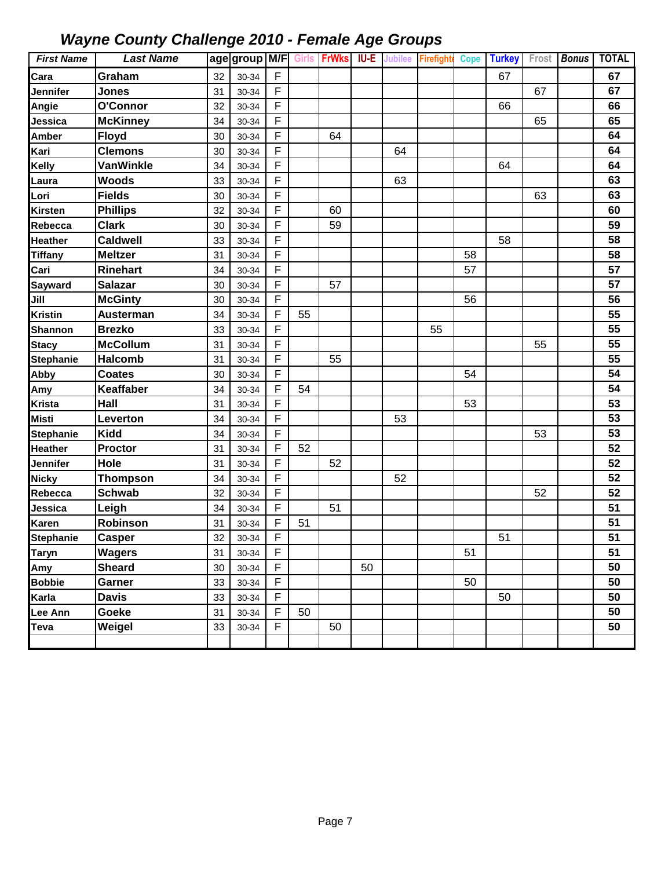| <b>First Name</b> | <b>Last Name</b> |    | age group M/F Girls |              |    | FrWks | <b>IU-E</b> | <b>Jubilee</b> | <b>Firefighte</b> | <b>Cope</b> | <b>Turkey</b> | Frost | <b>Bonus</b> | <b>TOTAL</b> |
|-------------------|------------------|----|---------------------|--------------|----|-------|-------------|----------------|-------------------|-------------|---------------|-------|--------------|--------------|
| Cara              | Graham           | 32 | 30-34               | F            |    |       |             |                |                   |             | 67            |       |              | 67           |
| Jennifer          | <b>Jones</b>     | 31 | 30-34               | F            |    |       |             |                |                   |             |               | 67    |              | 67           |
| Angie             | O'Connor         | 32 | 30-34               | F            |    |       |             |                |                   |             | 66            |       |              | 66           |
| Jessica           | <b>McKinney</b>  | 34 | 30-34               | $\mathsf{F}$ |    |       |             |                |                   |             |               | 65    |              | 65           |
| Amber             | <b>Floyd</b>     | 30 | 30-34               | F            |    | 64    |             |                |                   |             |               |       |              | 64           |
| Kari              | <b>Clemons</b>   | 30 | 30-34               | F            |    |       |             | 64             |                   |             |               |       |              | 64           |
| Kelly             | <b>VanWinkle</b> | 34 | 30-34               | F            |    |       |             |                |                   |             | 64            |       |              | 64           |
| Laura             | <b>Woods</b>     | 33 | 30-34               | $\mathsf{F}$ |    |       |             | 63             |                   |             |               |       |              | 63           |
| Lori              | <b>Fields</b>    | 30 | 30-34               | F            |    |       |             |                |                   |             |               | 63    |              | 63           |
| Kirsten           | <b>Phillips</b>  | 32 | 30-34               | F            |    | 60    |             |                |                   |             |               |       |              | 60           |
| Rebecca           | <b>Clark</b>     | 30 | 30-34               | F            |    | 59    |             |                |                   |             |               |       |              | 59           |
| Heather           | <b>Caldwell</b>  | 33 | 30-34               | F            |    |       |             |                |                   |             | 58            |       |              | 58           |
| <b>Tiffany</b>    | <b>Meltzer</b>   | 31 | 30-34               | F            |    |       |             |                |                   | 58          |               |       |              | 58           |
| Cari              | Rinehart         | 34 | 30-34               | F            |    |       |             |                |                   | 57          |               |       |              | 57           |
| Sayward           | <b>Salazar</b>   | 30 | 30-34               | $\mathsf{F}$ |    | 57    |             |                |                   |             |               |       |              | 57           |
| Jill              | <b>McGinty</b>   | 30 | 30-34               | F            |    |       |             |                |                   | 56          |               |       |              | 56           |
| <b>Kristin</b>    | Austerman        | 34 | 30-34               | F            | 55 |       |             |                |                   |             |               |       |              | 55           |
| Shannon           | <b>Brezko</b>    | 33 | 30-34               | F            |    |       |             |                | 55                |             |               |       |              | 55           |
| <b>Stacy</b>      | <b>McCollum</b>  | 31 | 30-34               | $\mathsf{F}$ |    |       |             |                |                   |             |               | 55    |              | 55           |
| <b>Stephanie</b>  | <b>Halcomb</b>   | 31 | 30-34               | F            |    | 55    |             |                |                   |             |               |       |              | 55           |
| Abby              | <b>Coates</b>    | 30 | 30-34               | F            |    |       |             |                |                   | 54          |               |       |              | 54           |
| Amy               | Keaffaber        | 34 | 30-34               | F            | 54 |       |             |                |                   |             |               |       |              | 54           |
| <b>Krista</b>     | Hall             | 31 | 30-34               | F            |    |       |             |                |                   | 53          |               |       |              | 53           |
| Misti             | Leverton         | 34 | 30-34               | F            |    |       |             | 53             |                   |             |               |       |              | 53           |
| <b>Stephanie</b>  | <b>Kidd</b>      | 34 | 30-34               | F            |    |       |             |                |                   |             |               | 53    |              | 53           |
| Heather           | <b>Proctor</b>   | 31 | 30-34               | F            | 52 |       |             |                |                   |             |               |       |              | 52           |
| Jennifer          | Hole             | 31 | 30-34               | F            |    | 52    |             |                |                   |             |               |       |              | 52           |
| <b>Nicky</b>      | <b>Thompson</b>  | 34 | 30-34               | F            |    |       |             | 52             |                   |             |               |       |              | 52           |
| Rebecca           | <b>Schwab</b>    | 32 | 30-34               | F            |    |       |             |                |                   |             |               | 52    |              | 52           |
| Jessica           | Leigh            | 34 | 30-34               | F            |    | 51    |             |                |                   |             |               |       |              | 51           |
| Karen             | Robinson         | 31 | 30-34               | $\mathsf F$  | 51 |       |             |                |                   |             |               |       |              | 51           |
| <b>Stephanie</b>  | <b>Casper</b>    | 32 | 30-34               | F            |    |       |             |                |                   |             | 51            |       |              | 51           |
| <b>Taryn</b>      | <b>Wagers</b>    | 31 | 30-34               | $\mathsf F$  |    |       |             |                |                   | 51          |               |       |              | 51           |
| Amy               | <b>Sheard</b>    | 30 | 30-34               | $\mathsf F$  |    |       | 50          |                |                   |             |               |       |              | 50           |
| <b>Bobbie</b>     | Garner           | 33 | 30-34               | $\mathsf F$  |    |       |             |                |                   | 50          |               |       |              | 50           |
| Karla             | <b>Davis</b>     | 33 | 30-34               | F            |    |       |             |                |                   |             | 50            |       |              | 50           |
| Lee Ann           | Goeke            | 31 | 30-34               | F            | 50 |       |             |                |                   |             |               |       |              | 50           |
| Teva              | Weigel           | 33 | 30-34               | F            |    | 50    |             |                |                   |             |               |       |              | 50           |
|                   |                  |    |                     |              |    |       |             |                |                   |             |               |       |              |              |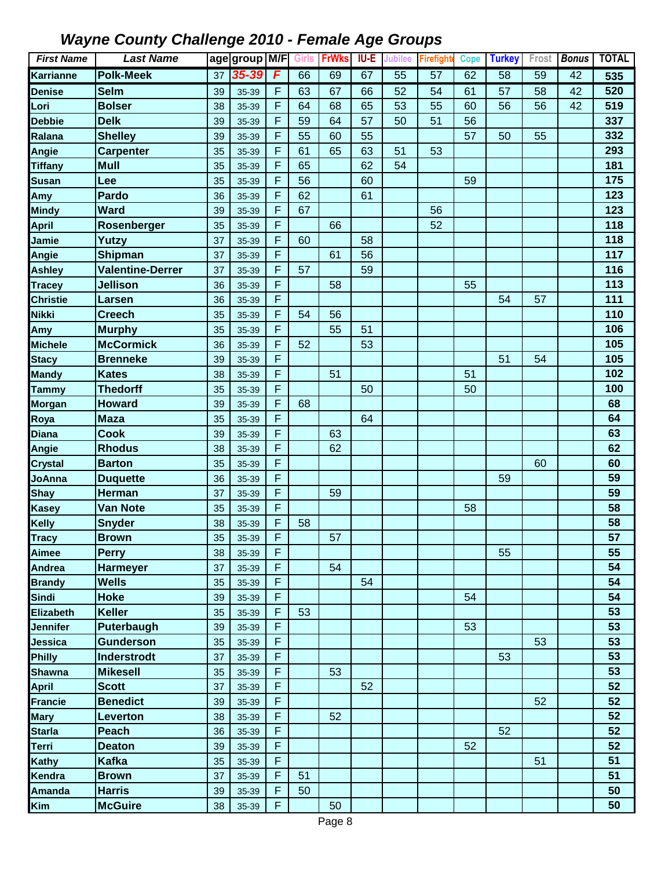| <b>First Name</b>            | <b>Last Name</b>               |          | age group M/F  |              | <b>Girls</b> | <b>FrWks</b> | IU-E | Jubilee | <b>Firefight</b> | <b>Cope</b> | <b>Turkey</b> | Frost | <b>Bonus</b> | <b>TOTAL</b> |
|------------------------------|--------------------------------|----------|----------------|--------------|--------------|--------------|------|---------|------------------|-------------|---------------|-------|--------------|--------------|
| <b>Karrianne</b>             | <b>Polk-Meek</b>               | 37       | 35-39          | F            | 66           | 69           | 67   | 55      | 57               | 62          | 58            | 59    | 42           | 535          |
| <b>Denise</b>                | <b>Selm</b>                    | 39       | 35-39          | F            | 63           | 67           | 66   | 52      | 54               | 61          | 57            | 58    | 42           | 520          |
| Lori                         | <b>Bolser</b>                  | 38       | 35-39          | F            | 64           | 68           | 65   | 53      | 55               | 60          | 56            | 56    | 42           | 519          |
| <b>Debbie</b>                | <b>Delk</b>                    | 39       | 35-39          | F            | 59           | 64           | 57   | 50      | 51               | 56          |               |       |              | 337          |
| Ralana                       | <b>Shelley</b>                 | 39       | 35-39          | F            | 55           | 60           | 55   |         |                  | 57          | 50            | 55    |              | 332          |
| Angie                        | <b>Carpenter</b>               | 35       | 35-39          | F            | 61           | 65           | 63   | 51      | 53               |             |               |       |              | 293          |
| <b>Tiffany</b>               | <b>Mull</b>                    | 35       | 35-39          | F            | 65           |              | 62   | 54      |                  |             |               |       |              | 181          |
| <b>Susan</b>                 | Lee                            | 35       | 35-39          | F            | 56           |              | 60   |         |                  | 59          |               |       |              | 175          |
| Amy                          | <b>Pardo</b>                   | 36       | 35-39          | F            | 62           |              | 61   |         |                  |             |               |       |              | 123          |
| <b>Mindy</b>                 | <b>Ward</b>                    | 39       | 35-39          | F            | 67           |              |      |         | 56               |             |               |       |              | 123          |
| April                        | Rosenberger                    | 35       | 35-39          | F            |              | 66           |      |         | 52               |             |               |       |              | 118          |
| Jamie                        | Yutzy                          | 37       | 35-39          | F            | 60           |              | 58   |         |                  |             |               |       |              | 118          |
| Angie                        | <b>Shipman</b>                 | 37       | 35-39          | F            |              | 61           | 56   |         |                  |             |               |       |              | 117          |
| <b>Ashley</b>                | <b>Valentine-Derrer</b>        | 37       | 35-39          | F            | 57           |              | 59   |         |                  |             |               |       |              | 116          |
| <b>Tracey</b>                | <b>Jellison</b>                | 36       | 35-39          | F            |              | 58           |      |         |                  | 55          |               |       |              | 113          |
| <b>Christie</b>              | Larsen                         | 36       | 35-39          | F            |              |              |      |         |                  |             | 54            | 57    |              | 111          |
| <b>Nikki</b>                 | <b>Creech</b>                  | 35       | 35-39          | F            | 54           | 56           |      |         |                  |             |               |       |              | 110          |
| Amy                          | <b>Murphy</b>                  | 35       | 35-39          | F            |              | 55           | 51   |         |                  |             |               |       |              | 106          |
| <b>Michele</b>               | <b>McCormick</b>               | 36       | 35-39          | F            | 52           |              | 53   |         |                  |             |               |       |              | 105          |
| <b>Stacy</b>                 | <b>Brenneke</b>                | 39       | 35-39          | F            |              |              |      |         |                  |             | 51            | 54    |              | 105          |
| <b>Mandy</b>                 | <b>Kates</b>                   | 38       | 35-39          | F            |              | 51           |      |         |                  | 51          |               |       |              | 102          |
| <b>Tammy</b>                 | <b>Thedorff</b>                | 35       | 35-39          | F            |              |              | 50   |         |                  | 50          |               |       |              | 100          |
| Morgan                       | <b>Howard</b>                  | 39       | 35-39          | F            | 68           |              |      |         |                  |             |               |       |              | 68           |
| Roya                         | <b>Maza</b>                    | 35       | 35-39          | F            |              |              | 64   |         |                  |             |               |       |              | 64           |
| <b>Diana</b>                 | <b>Cook</b>                    | 39       | 35-39          | F            |              | 63           |      |         |                  |             |               |       |              | 63           |
| Angie                        | <b>Rhodus</b>                  | 38       | 35-39          | F            |              | 62           |      |         |                  |             |               |       |              | 62           |
| <b>Crystal</b>               | <b>Barton</b>                  | 35       | 35-39          | F            |              |              |      |         |                  |             |               | 60    |              | 60           |
| JoAnna                       | <b>Duquette</b>                | 36       | 35-39          | F            |              |              |      |         |                  |             | 59            |       |              | 59           |
| <b>Shay</b>                  | Herman                         | 37       | 35-39          | F            |              | 59           |      |         |                  |             |               |       |              | 59           |
| Kasey                        | <b>Van Note</b>                | 35       | 35-39          | F            |              |              |      |         |                  | 58          |               |       |              | 58           |
| Kelly                        | <b>Snyder</b>                  | 38       | 35-39          | F            | 58           |              |      |         |                  |             |               |       |              | 58           |
| <b>Tracy</b>                 | <b>Brown</b>                   | 35       | 35-39          | F            |              | 57           |      |         |                  |             |               |       |              | 57           |
| <b>Aimee</b>                 | <b>Perry</b>                   | 38       | 35-39          | F            |              |              |      |         |                  |             | 55            |       |              | 55           |
| <b>Andrea</b>                | <b>Harmeyer</b>                | 37       | 35-39          | $\mathsf{F}$ |              | 54           |      |         |                  |             |               |       |              | 54           |
| <b>Brandy</b>                | <b>Wells</b>                   | 35       | 35-39          | F            |              |              | 54   |         |                  |             |               |       |              | 54<br>54     |
| <b>Sindi</b>                 | <b>Hoke</b>                    | 39       | 35-39          | F<br>F       |              |              |      |         |                  | 54          |               |       |              |              |
| Elizabeth<br><b>Jennifer</b> | <b>Keller</b>                  | 35       | 35-39          | F            | 53           |              |      |         |                  | 53          |               |       |              | 53<br>53     |
| Jessica                      | Puterbaugh<br><b>Gunderson</b> | 39<br>35 | 35-39<br>35-39 | F            |              |              |      |         |                  |             |               | 53    |              | 53           |
| <b>Philly</b>                | Inderstrodt                    |          |                | F            |              |              |      |         |                  |             | 53            |       |              | 53           |
| <b>Shawna</b>                | <b>Mikesell</b>                | 37<br>35 | 35-39<br>35-39 | F            |              | 53           |      |         |                  |             |               |       |              | 53           |
| <b>April</b>                 | <b>Scott</b>                   | 37       |                | F            |              |              | 52   |         |                  |             |               |       |              | 52           |
| <b>Francie</b>               | <b>Benedict</b>                | 39       | 35-39<br>35-39 | F            |              |              |      |         |                  |             |               | 52    |              | 52           |
| <b>Mary</b>                  | <b>Leverton</b>                | 38       | 35-39          | F            |              | 52           |      |         |                  |             |               |       |              | 52           |
| <b>Starla</b>                | <b>Peach</b>                   | 36       | 35-39          | F            |              |              |      |         |                  |             | 52            |       |              | 52           |
| <b>Terri</b>                 | <b>Deaton</b>                  | 39       |                | F            |              |              |      |         |                  | 52          |               |       |              | 52           |
| <b>Kathy</b>                 | <b>Kafka</b>                   | 35       | 35-39          | F            |              |              |      |         |                  |             |               | 51    |              | 51           |
| Kendra                       | <b>Brown</b>                   | 37       | 35-39<br>35-39 | F            | 51           |              |      |         |                  |             |               |       |              | 51           |
| <b>Amanda</b>                | <b>Harris</b>                  | 39       | 35-39          | F            | 50           |              |      |         |                  |             |               |       |              | 50           |
| Kim                          | <b>McGuire</b>                 | 38       |                | F            |              | 50           |      |         |                  |             |               |       |              | 50           |
|                              |                                |          | 35-39          |              |              |              |      |         |                  |             |               |       |              |              |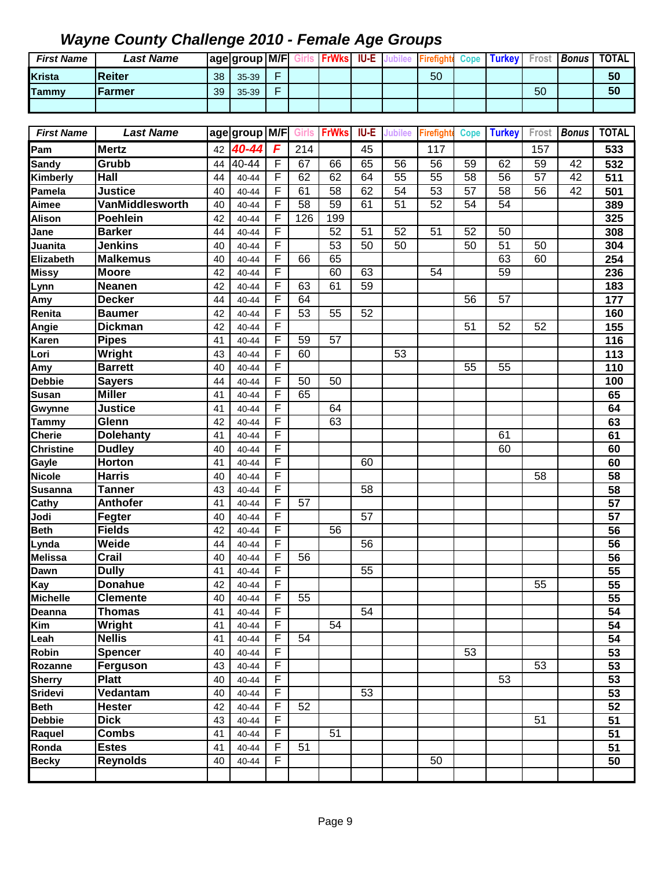| <b>First Name</b> | <b>Last Name</b> |    | age group M/F |   | <b>FrWks</b> | <b>IU-E</b> |    | Cope | <b>Turkey</b> I | Frost | <b>Bonus</b> | <b>TOTAL</b> |
|-------------------|------------------|----|---------------|---|--------------|-------------|----|------|-----------------|-------|--------------|--------------|
| Krista            | IReiter          | 38 | $35 - 39$     | - |              |             | 50 |      |                 |       |              | 50           |
| <b>Tammy</b>      | lFarmer          | 39 | 35-39         | - |              |             |    |      |                 | 50    |              | 50           |
|                   |                  |    |               |   |              |             |    |      |                 |       |              |              |

| <b>First Name</b> | <b>Last Name</b> |    | age group M/F |                         | <b>Girls</b> | <b>FrWks</b>    | IU-E | <b>Jubilee</b> | <b>Firefight</b> | <b>Cope</b> | <b>Turkey</b>   | Frost | <b>Bonus</b> | <b>TOTAL</b>    |
|-------------------|------------------|----|---------------|-------------------------|--------------|-----------------|------|----------------|------------------|-------------|-----------------|-------|--------------|-----------------|
| Pam               | <b>Mertz</b>     | 42 | 40-44         | $\overline{F}$          | 214          |                 | 45   |                | 117              |             |                 | 157   |              | 533             |
| <b>Sandy</b>      | Grubb            | 44 | 40-44         | F                       | 67           | 66              | 65   | 56             | 56               | 59          | 62              | 59    | 42           | 532             |
| Kimberly          | Hall             | 44 | 40-44         | $\mathsf{F}$            | 62           | 62              | 64   | 55             | 55               | 58          | 56              | 57    | 42           | 511             |
| Pamela            | <b>Justice</b>   | 40 | 40-44         | $\mathsf{F}$            | 61           | 58              | 62   | 54             | 53               | 57          | 58              | 56    | 42           | 501             |
| Aimee             | VanMiddlesworth  | 40 | 40-44         | F                       | 58           | 59              | 61   | 51             | 52               | 54          | $\overline{54}$ |       |              | 389             |
| <b>Alison</b>     | <b>Poehlein</b>  | 42 | 40-44         | F                       | 126          | 199             |      |                |                  |             |                 |       |              | 325             |
| Jane              | <b>Barker</b>    | 44 | 40-44         | F                       |              | 52              | 51   | 52             | 51               | 52          | 50              |       |              | 308             |
| Juanita           | <b>Jenkins</b>   | 40 | 40-44         | F                       |              | 53              | 50   | 50             |                  | 50          | 51              | 50    |              | 304             |
| Elizabeth         | <b>Malkemus</b>  | 40 | $40 - 44$     | F                       | 66           | 65              |      |                |                  |             | 63              | 60    |              | 254             |
| <b>Missy</b>      | <b>Moore</b>     | 42 | 40-44         | F                       |              | 60              | 63   |                | 54               |             | $\overline{59}$ |       |              | 236             |
| Lynn              | Neanen           | 42 | 40-44         | F                       | 63           | 61              | 59   |                |                  |             |                 |       |              | 183             |
| Amy               | <b>Decker</b>    | 44 | 40-44         | F                       | 64           |                 |      |                |                  | 56          | $\overline{57}$ |       |              | 177             |
| Renita            | <b>Baumer</b>    | 42 | 40-44         | F                       | 53           | 55              | 52   |                |                  |             |                 |       |              | 160             |
| Angie             | <b>Dickman</b>   | 42 | 40-44         | F                       |              |                 |      |                |                  | 51          | 52              | 52    |              | 155             |
| Karen             | <b>Pipes</b>     | 41 | 40-44         | F                       | 59           | $\overline{57}$ |      |                |                  |             |                 |       |              | 116             |
| Lori              | Wright           | 43 | 40-44         | F                       | 60           |                 |      | 53             |                  |             |                 |       |              | 113             |
| Amy               | <b>Barrett</b>   | 40 | $40 - 44$     | F                       |              |                 |      |                |                  | 55          | 55              |       |              | 110             |
| <b>Debbie</b>     | <b>Sayers</b>    | 44 | $40 - 44$     | F                       | 50           | 50              |      |                |                  |             |                 |       |              | 100             |
| <b>Susan</b>      | <b>Miller</b>    | 41 | 40-44         | F                       | 65           |                 |      |                |                  |             |                 |       |              | 65              |
| Gwynne            | <b>Justice</b>   | 41 | 40-44         | F                       |              | 64              |      |                |                  |             |                 |       |              | 64              |
| <b>Tammy</b>      | Glenn            | 42 | 40-44         | F                       |              | 63              |      |                |                  |             |                 |       |              | 63              |
| <b>Cherie</b>     | <b>Dolehanty</b> | 41 | 40-44         | F                       |              |                 |      |                |                  |             | 61              |       |              | 61              |
| <b>Christine</b>  | <b>Dudley</b>    | 40 | 40-44         | F                       |              |                 |      |                |                  |             | 60              |       |              | 60              |
| Gayle             | Horton           | 41 | $40 - 44$     | F                       |              |                 | 60   |                |                  |             |                 |       |              | 60              |
| <b>Nicole</b>     | <b>Harris</b>    | 40 | 40-44         | F                       |              |                 |      |                |                  |             |                 | 58    |              | 58              |
| <b>Susanna</b>    | <b>Tanner</b>    | 43 | 40-44         | F                       |              |                 | 58   |                |                  |             |                 |       |              | 58              |
| Cathy             | <b>Anthofer</b>  | 41 | 40-44         | F                       | 57           |                 |      |                |                  |             |                 |       |              | 57              |
| Jodi              | Fegter           | 40 | 40-44         | F                       |              |                 | 57   |                |                  |             |                 |       |              | 57              |
| <b>Beth</b>       | <b>Fields</b>    | 42 | 40-44         | $\overline{F}$          |              | 56              |      |                |                  |             |                 |       |              | 56              |
| Lynda             | Weide            | 44 | 40-44         | $\overline{\mathsf{F}}$ |              |                 | 56   |                |                  |             |                 |       |              | 56              |
| <b>Melissa</b>    | Crail            | 40 | 40-44         | F                       | 56           |                 |      |                |                  |             |                 |       |              | 56              |
| Dawn              | <b>Dully</b>     | 41 | 40-44         | F                       |              |                 | 55   |                |                  |             |                 |       |              | 55              |
| Kay               | <b>Donahue</b>   | 42 | 40-44         | F                       |              |                 |      |                |                  |             |                 | 55    |              | 55              |
| <b>Michelle</b>   | <b>Clemente</b>  | 40 | 40-44         | F                       | 55           |                 |      |                |                  |             |                 |       |              | $\overline{55}$ |
| Deanna            | <b>Thomas</b>    | 41 | 40-44         | F                       |              |                 | 54   |                |                  |             |                 |       |              | $\overline{54}$ |
| Kim               | Wright           | 41 | 40-44         | F                       |              | 54              |      |                |                  |             |                 |       |              | 54              |
| Leah              | <b>Nellis</b>    | 41 | 40-44         | F                       | 54           |                 |      |                |                  |             |                 |       |              | 54              |
| Robin             | <b>Spencer</b>   | 40 | 40-44         | F                       |              |                 |      |                |                  | 53          |                 |       |              | 53              |
| Rozanne           | Ferguson         | 43 | 40-44         | F                       |              |                 |      |                |                  |             |                 | 53    |              | 53              |
| <b>Sherry</b>     | <b>Platt</b>     | 40 | 40-44         | F                       |              |                 |      |                |                  |             | 53              |       |              | 53              |
| <b>Sridevi</b>    | Vedantam         | 40 | 40-44         | F                       |              |                 | 53   |                |                  |             |                 |       |              | 53              |
| <b>Beth</b>       | <b>Hester</b>    | 42 | 40-44         | F                       | 52           |                 |      |                |                  |             |                 |       |              | 52              |
| <b>Debbie</b>     | <b>Dick</b>      | 43 | 40-44         | F                       |              |                 |      |                |                  |             |                 | 51    |              | 51              |
| Raquel            | <b>Combs</b>     | 41 | 40-44         | F                       |              | 51              |      |                |                  |             |                 |       |              | 51              |
| Ronda             | <b>Estes</b>     | 41 | 40-44         | $\mathsf{F}$            | 51           |                 |      |                |                  |             |                 |       |              | 51              |
| <b>Becky</b>      | <b>Reynolds</b>  | 40 | 40-44         | F                       |              |                 |      |                | 50               |             |                 |       |              | 50              |
|                   |                  |    |               |                         |              |                 |      |                |                  |             |                 |       |              |                 |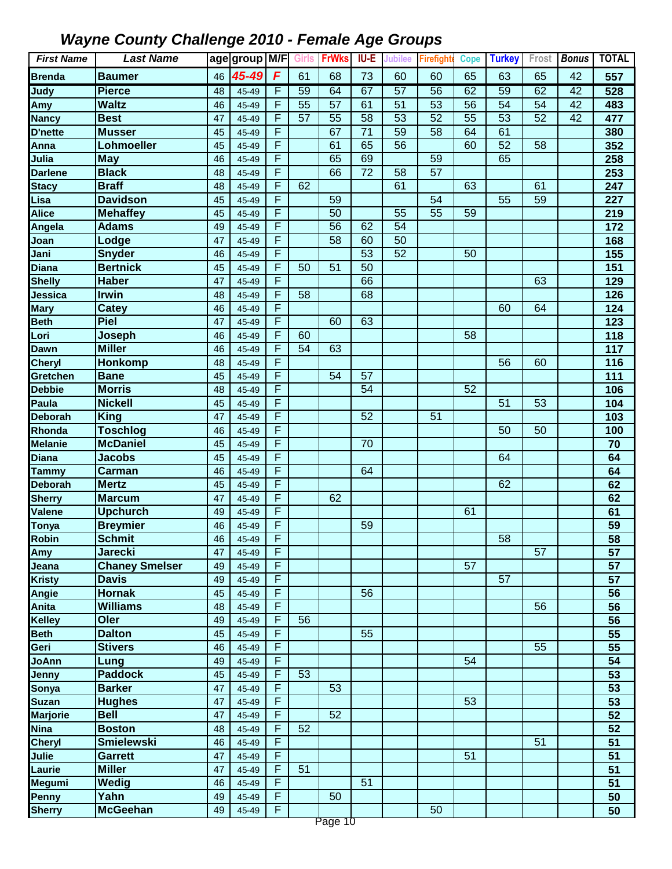| <b>First Name</b> | <b>Last Name</b>      |    | age group M/F Girls |             |                 | <b>FrWks</b>     | IU-E            | <b>Jubilee</b>  | <b>Firefight</b> | <b>Cope</b> | <b>Turkey</b>   | Frost           | <b>Bonus</b> | <b>TOTAL</b>    |
|-------------------|-----------------------|----|---------------------|-------------|-----------------|------------------|-----------------|-----------------|------------------|-------------|-----------------|-----------------|--------------|-----------------|
| <b>Brenda</b>     | <b>Baumer</b>         | 46 | 45-49               | $\mathbf F$ | 61              | 68               | 73              | 60              | 60               | 65          | 63              | 65              | 42           | 557             |
| Judy              | <b>Pierce</b>         | 48 | 45-49               | F           | 59              | 64               | 67              | $\overline{57}$ | 56               | 62          | 59              | 62              | 42           | 528             |
| Amy               | <b>Waltz</b>          | 46 | 45-49               | F           | 55              | $\overline{57}$  | 61              | 51              | 53               | 56          | $\overline{54}$ | 54              | 42           | 483             |
| <b>Nancy</b>      | <b>Best</b>           | 47 | 45-49               | F           | 57              | 55               | 58              | 53              | 52               | 55          | 53              | 52              | 42           | 477             |
| <b>D'nette</b>    | <b>Musser</b>         | 45 | 45-49               | F           |                 | 67               | 71              | 59              | 58               | 64          | 61              |                 |              | 380             |
| Anna              | Lohmoeller            | 45 | 45-49               | F           |                 | 61               | 65              | 56              |                  | 60          | 52              | 58              |              | 352             |
| Julia             | <b>May</b>            | 46 | 45-49               | F           |                 | 65               | 69              |                 | 59               |             | 65              |                 |              | 258             |
| <b>Darlene</b>    | <b>Black</b>          | 48 | 45-49               | F           |                 | 66               | $\overline{72}$ | 58              | 57               |             |                 |                 |              | 253             |
| <b>Stacy</b>      | <b>Braff</b>          | 48 | 45-49               | F           | 62              |                  |                 | 61              |                  | 63          |                 | 61              |              | 247             |
| Lisa              | <b>Davidson</b>       | 45 | 45-49               | F           |                 | 59               |                 |                 | 54               |             | $\overline{55}$ | 59              |              | 227             |
| Alice             | <b>Mehaffey</b>       | 45 | 45-49               | F           |                 | 50               |                 | $\overline{55}$ | $\overline{55}$  | 59          |                 |                 |              | 219             |
| Angela            | <b>Adams</b>          | 49 | 45-49               | F           |                 | $\overline{56}$  | 62              | $\overline{54}$ |                  |             |                 |                 |              | 172             |
| Joan              | Lodge                 | 47 | 45-49               | F           |                 | 58               | 60              | 50              |                  |             |                 |                 |              | 168             |
| Jani              | Snyder                | 46 | 45-49               | F           |                 |                  | 53              | 52              |                  | 50          |                 |                 |              | 155             |
| <b>Diana</b>      | <b>Bertnick</b>       | 45 | 45-49               | F           | 50              | 51               | 50              |                 |                  |             |                 |                 |              | 151             |
| <b>Shelly</b>     | <b>Haber</b>          | 47 | 45-49               | F           |                 |                  | 66              |                 |                  |             |                 | 63              |              | 129             |
| Jessica           | <b>Irwin</b>          | 48 | 45-49               | F           | 58              |                  | 68              |                 |                  |             |                 |                 |              | 126             |
| <b>Mary</b>       | <b>Catey</b>          | 46 | 45-49               | F           |                 |                  |                 |                 |                  |             | 60              | 64              |              | 124             |
| <b>Beth</b>       | Piel                  | 47 | 45-49               | F           |                 | 60               | 63              |                 |                  |             |                 |                 |              | 123             |
| Lori              | Joseph                | 46 | 45-49               | F           | 60              |                  |                 |                 |                  | 58          |                 |                 |              | 118             |
| <b>Dawn</b>       | <b>Miller</b>         | 46 | 45-49               | F           | 54              | 63               |                 |                 |                  |             |                 |                 |              | 117             |
| <b>Cheryl</b>     | Honkomp               | 48 | 45-49               | F           |                 |                  |                 |                 |                  |             | 56              | 60              |              | 116             |
| Gretchen          | <b>Bane</b>           | 45 | 45-49               | F           |                 | 54               | 57              |                 |                  |             |                 |                 |              | 111             |
| <b>Debbie</b>     | <b>Morris</b>         | 48 | 45-49               | F           |                 |                  | 54              |                 |                  | 52          |                 |                 |              | 106             |
| Paula             | <b>Nickell</b>        | 45 | 45-49               | F           |                 |                  |                 |                 |                  |             | 51              | 53              |              | 104             |
| <b>Deborah</b>    | <b>King</b>           | 47 | 45-49               | F           |                 |                  | 52              |                 | 51               |             |                 |                 |              | 103             |
| Rhonda            | <b>Toschlog</b>       | 46 | 45-49               | F           |                 |                  |                 |                 |                  |             | 50              | 50              |              | 100             |
| <b>Melanie</b>    | <b>McDaniel</b>       | 45 | 45-49               | F           |                 |                  | 70              |                 |                  |             |                 |                 |              | 70              |
| <b>Diana</b>      | <b>Jacobs</b>         | 45 | 45-49               | F           |                 |                  |                 |                 |                  |             | 64              |                 |              | 64              |
| <b>Tammy</b>      | <b>Carman</b>         | 46 | 45-49               | F           |                 |                  | 64              |                 |                  |             |                 |                 |              | 64              |
| <b>Deborah</b>    | <b>Mertz</b>          | 45 | 45-49               | F           |                 |                  |                 |                 |                  |             | 62              |                 |              | 62              |
| <b>Sherry</b>     | <b>Marcum</b>         | 47 | 45-49               | F           |                 | 62               |                 |                 |                  |             |                 |                 |              | 62              |
| Valene            | <b>Upchurch</b>       | 49 | 45-49               | F           |                 |                  |                 |                 |                  | 61          |                 |                 |              | 61              |
| <b>Tonya</b>      | <b>Breymier</b>       | 46 | 45-49               | F           |                 |                  | 59              |                 |                  |             |                 |                 |              | 59              |
| Robin             | <b>Schmit</b>         | 46 | 45-49               | F           |                 |                  |                 |                 |                  |             | 58              |                 |              | $\overline{58}$ |
| Amy               | <b>Jarecki</b>        | 47 | 45-49               | F           |                 |                  |                 |                 |                  |             |                 | 57              |              | 57              |
| Jeana             | <b>Chaney Smelser</b> | 49 | 45-49               | F           |                 |                  |                 |                 |                  | 57          |                 |                 |              | 57              |
| <b>Kristy</b>     | <b>Davis</b>          | 49 | 45-49               | F           |                 |                  |                 |                 |                  |             | $\overline{57}$ |                 |              | 57              |
| Angie             | <b>Hornak</b>         | 45 | 45-49               | F           |                 |                  | $\overline{56}$ |                 |                  |             |                 |                 |              | $\overline{56}$ |
| Anita             | <b>Williams</b>       | 48 | 45-49               | F           |                 |                  |                 |                 |                  |             |                 | $\overline{56}$ |              | 56              |
| Kelley            | Oler                  | 49 | 45-49               | F           | $\overline{56}$ |                  |                 |                 |                  |             |                 |                 |              | $\overline{56}$ |
| <b>Beth</b>       | <b>Dalton</b>         | 45 | 45-49               | F           |                 |                  | 55              |                 |                  |             |                 |                 |              | 55              |
| Geri              | <b>Stivers</b>        | 46 | 45-49               | F           |                 |                  |                 |                 |                  |             |                 | 55              |              | 55              |
| <b>JoAnn</b>      | Lung                  | 49 | 45-49               | F           |                 |                  |                 |                 |                  | 54          |                 |                 |              | 54              |
| Jenny             | <b>Paddock</b>        | 45 | 45-49               | F           | 53              |                  |                 |                 |                  |             |                 |                 |              | 53              |
| Sonya             | <b>Barker</b>         | 47 | 45-49               | F           |                 | 53               |                 |                 |                  |             |                 |                 |              | 53              |
| <b>Suzan</b>      | <b>Hughes</b>         | 47 | 45-49               | F           |                 |                  |                 |                 |                  | 53          |                 |                 |              | 53              |
| <b>Marjorie</b>   | <b>Bell</b>           | 47 | 45-49               | F           |                 | 52               |                 |                 |                  |             |                 |                 |              | $\overline{52}$ |
| Nina              | <b>Boston</b>         | 48 | 45-49               | F           | 52              |                  |                 |                 |                  |             |                 |                 |              | 52              |
| <b>Cheryl</b>     | <b>Smielewski</b>     | 46 | 45-49               | F           |                 |                  |                 |                 |                  |             |                 | 51              |              | 51              |
| Julie             | <b>Garrett</b>        | 47 | 45-49               | F           |                 |                  |                 |                 |                  | 51          |                 |                 |              | 51              |
| Laurie            | <b>Miller</b>         | 47 | 45-49               | F           | 51              |                  |                 |                 |                  |             |                 |                 |              | 51              |
| <b>Megumi</b>     | <b>Wedig</b>          | 46 | 45-49               | F           |                 |                  | 51              |                 |                  |             |                 |                 |              | 51              |
| Penny             | Yahn                  | 49 | 45-49               | F           |                 | 50               |                 |                 |                  |             |                 |                 |              | 50              |
| <b>Sherry</b>     | <b>McGeehan</b>       | 49 | 45-49               | F           |                 | 111 Ane <b>U</b> |                 |                 | 50               |             |                 |                 |              | 50              |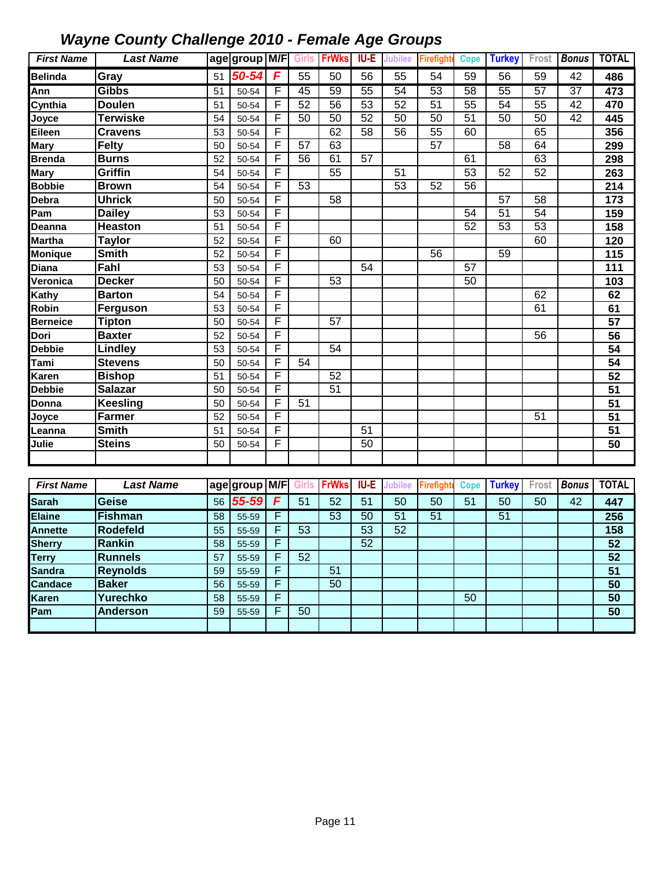| <b>First Name</b> | <b>Last Name</b> |    | age group M/F |                         | <b>Girls</b>    | <b>FrWks</b>    | IU-E            | Jubilee         | <b>Firefight</b> | <b>Cope</b>     | <b>Turkey</b>   | Frost | <b>Bonus</b> | <b>TOTAL</b>     |
|-------------------|------------------|----|---------------|-------------------------|-----------------|-----------------|-----------------|-----------------|------------------|-----------------|-----------------|-------|--------------|------------------|
| <b>Belinda</b>    | Gray             | 51 | 50-54         | $\overline{F}$          | 55              | 50              | 56              | 55              | 54               | 59              | 56              | 59    | 42           | 486              |
| Ann               | <b>Gibbs</b>     | 51 | 50-54         | F                       | 45              | 59              | 55              | 54              | 53               | 58              | 55              | 57    | 37           | 473              |
| Cynthia           | <b>Doulen</b>    | 51 | 50-54         | F                       | 52              | 56              | 53              | 52              | 51               | 55              | $\overline{54}$ | 55    | 42           | 470              |
| Joyce             | <b>Terwiske</b>  | 54 | 50-54         | F                       | 50              | 50              | 52              | 50              | 50               | 51              | 50              | 50    | 42           | 445              |
| Eileen            | <b>Cravens</b>   | 53 | 50-54         | $\overline{\mathsf{F}}$ |                 | 62              | $\overline{58}$ | $\overline{56}$ | $\overline{55}$  | 60              |                 | 65    |              | 356              |
| Mary              | <b>Felty</b>     | 50 | 50-54         | F                       | 57              | 63              |                 |                 | 57               |                 | 58              | 64    |              | 299              |
| <b>Brenda</b>     | <b>Burns</b>     | 52 | 50-54         | F                       | 56              | 61              | 57              |                 |                  | 61              |                 | 63    |              | 298              |
| Mary              | Griffin          | 54 | 50-54         | $\overline{\mathsf{F}}$ |                 | $\overline{55}$ |                 | $\overline{51}$ |                  | $\overline{53}$ | $\overline{52}$ | 52    |              | 263              |
| <b>Bobbie</b>     | <b>Brown</b>     | 54 | 50-54         | F                       | $\overline{53}$ |                 |                 | 53              | $\overline{52}$  | 56              |                 |       |              | 214              |
| Debra             | <b>Uhrick</b>    | 50 | 50-54         | F                       |                 | 58              |                 |                 |                  |                 | $\overline{57}$ | 58    |              | 173              |
| Pam               | <b>Dailey</b>    | 53 | 50-54         | F                       |                 |                 |                 |                 |                  | $\overline{54}$ | 51              | 54    |              | 159              |
| Deanna            | <b>Heaston</b>   | 51 | 50-54         | F                       |                 |                 |                 |                 |                  | $\overline{52}$ | $\overline{53}$ | 53    |              | 158              |
| <b>Martha</b>     | <b>Taylor</b>    | 52 | 50-54         | F                       |                 | 60              |                 |                 |                  |                 |                 | 60    |              | 120              |
| <b>Monique</b>    | <b>Smith</b>     | 52 | 50-54         | F                       |                 |                 |                 |                 | $\overline{56}$  |                 | 59              |       |              | $\overline{115}$ |
| <b>Diana</b>      | Fahl             | 53 | 50-54         | $\overline{F}$          |                 |                 | 54              |                 |                  | 57              |                 |       |              | 111              |
| Veronica          | <b>Decker</b>    | 50 | 50-54         | $\overline{\mathsf{F}}$ |                 | 53              |                 |                 |                  | 50              |                 |       |              | 103              |
| Kathy             | <b>Barton</b>    | 54 | 50-54         | $\overline{\mathsf{F}}$ |                 |                 |                 |                 |                  |                 |                 | 62    |              | 62               |
| Robin             | Ferguson         | 53 | 50-54         | $\overline{\mathsf{F}}$ |                 |                 |                 |                 |                  |                 |                 | 61    |              | 61               |
| Berneice          | <b>Tipton</b>    | 50 | 50-54         | $\overline{\mathsf{F}}$ |                 | $\overline{57}$ |                 |                 |                  |                 |                 |       |              | $\overline{57}$  |
| Dori              | <b>Baxter</b>    | 52 | 50-54         | $\overline{\mathsf{F}}$ |                 |                 |                 |                 |                  |                 |                 | 56    |              | $\overline{56}$  |
| Debbie            | Lindley          | 53 | 50-54         | F                       |                 | 54              |                 |                 |                  |                 |                 |       |              | 54               |
| Tami              | <b>Stevens</b>   | 50 | 50-54         | F                       | 54              |                 |                 |                 |                  |                 |                 |       |              | $\overline{54}$  |
| <b>Karen</b>      | <b>Bishop</b>    | 51 | 50-54         | $\overline{\mathsf{F}}$ |                 | 52              |                 |                 |                  |                 |                 |       |              | 52               |
| <b>Debbie</b>     | <b>Salazar</b>   | 50 | 50-54         | $\overline{\mathsf{F}}$ |                 | 51              |                 |                 |                  |                 |                 |       |              | 51               |
| Donna             | <b>Keesling</b>  | 50 | 50-54         | $\overline{\mathsf{F}}$ | 51              |                 |                 |                 |                  |                 |                 |       |              | $\overline{51}$  |
| Joyce             | <b>Farmer</b>    | 52 | 50-54         | $\overline{\mathsf{F}}$ |                 |                 |                 |                 |                  |                 |                 | 51    |              | 51               |
| Leanna            | <b>Smith</b>     | 51 | 50-54         | F                       |                 |                 | $\overline{51}$ |                 |                  |                 |                 |       |              | $\overline{51}$  |
| Julie             | <b>Steins</b>    | 50 | 50-54         | F                       |                 |                 | $\overline{50}$ |                 |                  |                 |                 |       |              | 50               |
|                   |                  |    |               |                         |                 |                 |                 |                 |                  |                 |                 |       |              |                  |
| <b>First Name</b> | <b>Last Name</b> |    |               | M/F                     | Girls           | <b>FrWks</b>    | <b>IU-E</b>     | Jubilee         | <b>Firefight</b> |                 | <b>Turkey</b>   | Frost | <b>Bonus</b> | <b>TOTAL</b>     |
|                   |                  |    | age group     |                         |                 |                 |                 |                 |                  | Cope            |                 |       |              |                  |
| <b>Sarah</b>      | <b>Geise</b>     | 56 | 55-59         | $\overline{F}$          | 51              | 52              | 51              | 50              | 50               | 51              | 50              | 50    | 42           | 447              |
| <b>Elaine</b>     | <b>Fishman</b>   | 58 | 55-59         | F                       |                 | 53              | 50              | $\overline{51}$ | 51               |                 | 51              |       |              | 256              |
| <b>Annette</b>    | <b>Rodefeld</b>  | 55 | 55-59         | F                       | $\overline{53}$ |                 | 53              | 52              |                  |                 |                 |       |              | 158              |
| <b>Sherry</b>     | <b>Rankin</b>    | 58 | 55-59         | F                       |                 |                 | $\overline{52}$ |                 |                  |                 |                 |       |              | 52               |
| Terry             | <b>Runnels</b>   | 57 | 55-59         | F                       | $\overline{52}$ |                 |                 |                 |                  |                 |                 |       |              | $\overline{52}$  |
| <b>Sandra</b>     | <b>Reynolds</b>  | 59 | 55-59         | F                       |                 | $\overline{51}$ |                 |                 |                  |                 |                 |       |              | $\overline{51}$  |
| <b>Candace</b>    | <b>Baker</b>     | 56 | 55-59         | F                       |                 | $\overline{50}$ |                 |                 |                  |                 |                 |       |              | $\overline{50}$  |
| <b>Karen</b>      | Yurechko         | 58 | 55-59         | F                       |                 |                 |                 |                 |                  | $\overline{50}$ |                 |       |              | $\overline{50}$  |

**Pam Anderson** 59 55-59 F 50 **50**